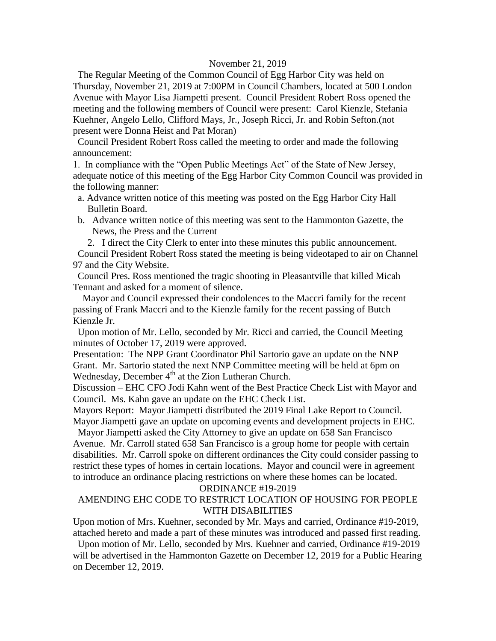### November 21, 2019

 The Regular Meeting of the Common Council of Egg Harbor City was held on Thursday, November 21, 2019 at 7:00PM in Council Chambers, located at 500 London Avenue with Mayor Lisa Jiampetti present. Council President Robert Ross opened the meeting and the following members of Council were present: Carol Kienzle, Stefania Kuehner, Angelo Lello, Clifford Mays, Jr., Joseph Ricci, Jr. and Robin Sefton.(not present were Donna Heist and Pat Moran)

 Council President Robert Ross called the meeting to order and made the following announcement:

1. In compliance with the "Open Public Meetings Act" of the State of New Jersey, adequate notice of this meeting of the Egg Harbor City Common Council was provided in the following manner:

- a. Advance written notice of this meeting was posted on the Egg Harbor City Hall Bulletin Board.
- b. Advance written notice of this meeting was sent to the Hammonton Gazette, the News, the Press and the Current

2. I direct the City Clerk to enter into these minutes this public announcement. Council President Robert Ross stated the meeting is being videotaped to air on Channel 97 and the City Website.

 Council Pres. Ross mentioned the tragic shooting in Pleasantville that killed Micah Tennant and asked for a moment of silence.

 Mayor and Council expressed their condolences to the Maccri family for the recent passing of Frank Maccri and to the Kienzle family for the recent passing of Butch Kienzle Jr.

 Upon motion of Mr. Lello, seconded by Mr. Ricci and carried, the Council Meeting minutes of October 17, 2019 were approved.

Presentation: The NPP Grant Coordinator Phil Sartorio gave an update on the NNP Grant. Mr. Sartorio stated the next NNP Committee meeting will be held at 6pm on Wednesday, December 4<sup>th</sup> at the Zion Lutheran Church.

Discussion – EHC CFO Jodi Kahn went of the Best Practice Check List with Mayor and Council. Ms. Kahn gave an update on the EHC Check List.

Mayors Report: Mayor Jiampetti distributed the 2019 Final Lake Report to Council. Mayor Jiampetti gave an update on upcoming events and development projects in EHC.

 Mayor Jiampetti asked the City Attorney to give an update on 658 San Francisco Avenue. Mr. Carroll stated 658 San Francisco is a group home for people with certain disabilities. Mr. Carroll spoke on different ordinances the City could consider passing to restrict these types of homes in certain locations. Mayor and council were in agreement to introduce an ordinance placing restrictions on where these homes can be located.

### ORDINANCE #19-2019

# AMENDING EHC CODE TO RESTRICT LOCATION OF HOUSING FOR PEOPLE WITH DISABILITIES

Upon motion of Mrs. Kuehner, seconded by Mr. Mays and carried, Ordinance #19-2019, attached hereto and made a part of these minutes was introduced and passed first reading.

 Upon motion of Mr. Lello, seconded by Mrs. Kuehner and carried, Ordinance #19-2019 will be advertised in the Hammonton Gazette on December 12, 2019 for a Public Hearing on December 12, 2019.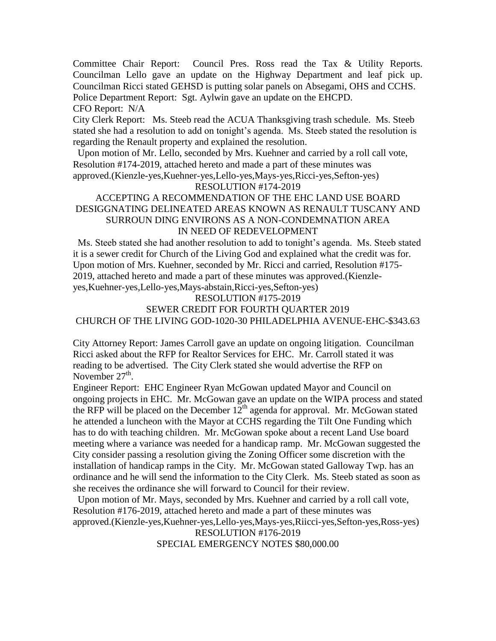Committee Chair Report: Council Pres. Ross read the Tax & Utility Reports. Councilman Lello gave an update on the Highway Department and leaf pick up. Councilman Ricci stated GEHSD is putting solar panels on Absegami, OHS and CCHS.

Police Department Report: Sgt. Aylwin gave an update on the EHCPD.

CFO Report: N/A

City Clerk Report: Ms. Steeb read the ACUA Thanksgiving trash schedule. Ms. Steeb stated she had a resolution to add on tonight's agenda. Ms. Steeb stated the resolution is regarding the Renault property and explained the resolution.

 Upon motion of Mr. Lello, seconded by Mrs. Kuehner and carried by a roll call vote, Resolution #174-2019, attached hereto and made a part of these minutes was approved.(Kienzle-yes,Kuehner-yes,Lello-yes,Mays-yes,Ricci-yes,Sefton-yes)

## RESOLUTION #174-2019

# ACCEPTING A RECOMMENDATION OF THE EHC LAND USE BOARD DESIGGNATING DELINEATED AREAS KNOWN AS RENAULT TUSCANY AND SURROUN DING ENVIRONS AS A NON-CONDEMNATION AREA IN NEED OF REDEVELOPMENT

 Ms. Steeb stated she had another resolution to add to tonight's agenda. Ms. Steeb stated it is a sewer credit for Church of the Living God and explained what the credit was for. Upon motion of Mrs. Kuehner, seconded by Mr. Ricci and carried, Resolution #175- 2019, attached hereto and made a part of these minutes was approved.(Kienzleyes,Kuehner-yes,Lello-yes,Mays-abstain,Ricci-yes,Sefton-yes)

## RESOLUTION #175-2019

# SEWER CREDIT FOR FOURTH QUARTER 2019 CHURCH OF THE LIVING GOD-1020-30 PHILADELPHIA AVENUE-EHC-\$343.63

City Attorney Report: James Carroll gave an update on ongoing litigation. Councilman Ricci asked about the RFP for Realtor Services for EHC. Mr. Carroll stated it was reading to be advertised. The City Clerk stated she would advertise the RFP on November  $27<sup>th</sup>$ .

Engineer Report: EHC Engineer Ryan McGowan updated Mayor and Council on ongoing projects in EHC. Mr. McGowan gave an update on the WIPA process and stated the RFP will be placed on the December  $12<sup>th</sup>$  agenda for approval. Mr. McGowan stated he attended a luncheon with the Mayor at CCHS regarding the Tilt One Funding which has to do with teaching children. Mr. McGowan spoke about a recent Land Use board meeting where a variance was needed for a handicap ramp. Mr. McGowan suggested the City consider passing a resolution giving the Zoning Officer some discretion with the installation of handicap ramps in the City. Mr. McGowan stated Galloway Twp. has an ordinance and he will send the information to the City Clerk. Ms. Steeb stated as soon as she receives the ordinance she will forward to Council for their review.

Upon motion of Mr. Mays, seconded by Mrs. Kuehner and carried by a roll call vote, Resolution #176-2019, attached hereto and made a part of these minutes was approved.(Kienzle-yes,Kuehner-yes,Lello-yes,Mays-yes,Riicci-yes,Sefton-yes,Ross-yes)

RESOLUTION #176-2019 SPECIAL EMERGENCY NOTES \$80,000.00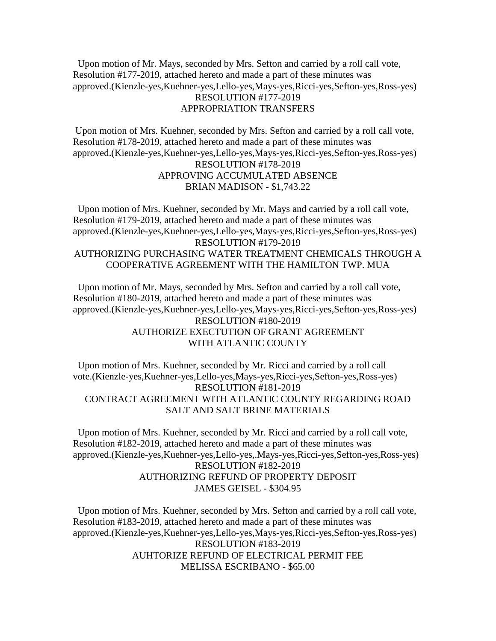Upon motion of Mr. Mays, seconded by Mrs. Sefton and carried by a roll call vote, Resolution #177-2019, attached hereto and made a part of these minutes was approved.(Kienzle-yes,Kuehner-yes,Lello-yes,Mays-yes,Ricci-yes,Sefton-yes,Ross-yes) RESOLUTION #177-2019 APPROPRIATION TRANSFERS

Upon motion of Mrs. Kuehner, seconded by Mrs. Sefton and carried by a roll call vote, Resolution #178-2019, attached hereto and made a part of these minutes was approved.(Kienzle-yes,Kuehner-yes,Lello-yes,Mays-yes,Ricci-yes,Sefton-yes,Ross-yes) RESOLUTION #178-2019 APPROVING ACCUMULATED ABSENCE BRIAN MADISON - \$1,743.22

 Upon motion of Mrs. Kuehner, seconded by Mr. Mays and carried by a roll call vote, Resolution #179-2019, attached hereto and made a part of these minutes was approved.(Kienzle-yes,Kuehner-yes,Lello-yes,Mays-yes,Ricci-yes,Sefton-yes,Ross-yes) RESOLUTION #179-2019 AUTHORIZING PURCHASING WATER TREATMENT CHEMICALS THROUGH A COOPERATIVE AGREEMENT WITH THE HAMILTON TWP. MUA

 Upon motion of Mr. Mays, seconded by Mrs. Sefton and carried by a roll call vote, Resolution #180-2019, attached hereto and made a part of these minutes was approved.(Kienzle-yes,Kuehner-yes,Lello-yes,Mays-yes,Ricci-yes,Sefton-yes,Ross-yes) RESOLUTION #180-2019 AUTHORIZE EXECTUTION OF GRANT AGREEMENT WITH ATLANTIC COUNTY

 Upon motion of Mrs. Kuehner, seconded by Mr. Ricci and carried by a roll call vote.(Kienzle-yes,Kuehner-yes,Lello-yes,Mays-yes,Ricci-yes,Sefton-yes,Ross-yes) RESOLUTION #181-2019 CONTRACT AGREEMENT WITH ATLANTIC COUNTY REGARDING ROAD SALT AND SALT BRINE MATERIALS

 Upon motion of Mrs. Kuehner, seconded by Mr. Ricci and carried by a roll call vote, Resolution #182-2019, attached hereto and made a part of these minutes was approved.(Kienzle-yes,Kuehner-yes,Lello-yes,.Mays-yes,Ricci-yes,Sefton-yes,Ross-yes) RESOLUTION #182-2019 AUTHORIZING REFUND OF PROPERTY DEPOSIT JAMES GEISEL - \$304.95

 Upon motion of Mrs. Kuehner, seconded by Mrs. Sefton and carried by a roll call vote, Resolution #183-2019, attached hereto and made a part of these minutes was approved.(Kienzle-yes,Kuehner-yes,Lello-yes,Mays-yes,Ricci-yes,Sefton-yes,Ross-yes) RESOLUTION #183-2019 AUHTORIZE REFUND OF ELECTRICAL PERMIT FEE MELISSA ESCRIBANO - \$65.00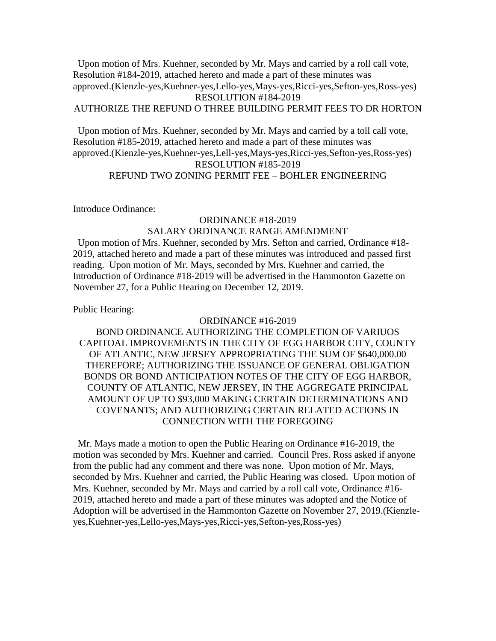Upon motion of Mrs. Kuehner, seconded by Mr. Mays and carried by a roll call vote, Resolution #184-2019, attached hereto and made a part of these minutes was approved.(Kienzle-yes,Kuehner-yes,Lello-yes,Mays-yes,Ricci-yes,Sefton-yes,Ross-yes) RESOLUTION #184-2019 AUTHORIZE THE REFUND O THREE BUILDING PERMIT FEES TO DR HORTON

 Upon motion of Mrs. Kuehner, seconded by Mr. Mays and carried by a toll call vote, Resolution #185-2019, attached hereto and made a part of these minutes was approved.(Kienzle-yes,Kuehner-yes,Lell-yes,Mays-yes,Ricci-yes,Sefton-yes,Ross-yes) RESOLUTION #185-2019 REFUND TWO ZONING PERMIT FEE – BOHLER ENGINEERING

Introduce Ordinance:

# ORDINANCE #18-2019 SALARY ORDINANCE RANGE AMENDMENT

 Upon motion of Mrs. Kuehner, seconded by Mrs. Sefton and carried, Ordinance #18- 2019, attached hereto and made a part of these minutes was introduced and passed first reading. Upon motion of Mr. Mays, seconded by Mrs. Kuehner and carried, the Introduction of Ordinance #18-2019 will be advertised in the Hammonton Gazette on November 27, for a Public Hearing on December 12, 2019.

Public Hearing:

### ORDINANCE #16-2019

BOND ORDINANCE AUTHORIZING THE COMPLETION OF VARIUOS CAPITOAL IMPROVEMENTS IN THE CITY OF EGG HARBOR CITY, COUNTY OF ATLANTIC, NEW JERSEY APPROPRIATING THE SUM OF \$640,000.00 THEREFORE; AUTHORIZING THE ISSUANCE OF GENERAL OBLIGATION BONDS OR BOND ANTICIPATION NOTES OF THE CITY OF EGG HARBOR, COUNTY OF ATLANTIC, NEW JERSEY, IN THE AGGREGATE PRINCIPAL AMOUNT OF UP TO \$93,000 MAKING CERTAIN DETERMINATIONS AND COVENANTS; AND AUTHORIZING CERTAIN RELATED ACTIONS IN CONNECTION WITH THE FOREGOING

 Mr. Mays made a motion to open the Public Hearing on Ordinance #16-2019, the motion was seconded by Mrs. Kuehner and carried. Council Pres. Ross asked if anyone from the public had any comment and there was none. Upon motion of Mr. Mays, seconded by Mrs. Kuehner and carried, the Public Hearing was closed. Upon motion of Mrs. Kuehner, seconded by Mr. Mays and carried by a roll call vote, Ordinance #16- 2019, attached hereto and made a part of these minutes was adopted and the Notice of Adoption will be advertised in the Hammonton Gazette on November 27, 2019.(Kienzleyes,Kuehner-yes,Lello-yes,Mays-yes,Ricci-yes,Sefton-yes,Ross-yes)